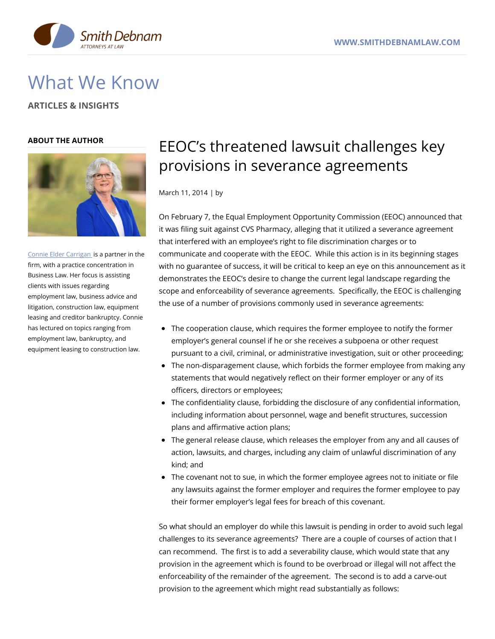

# What We Know

**ARTICLES & INSIGHTS**

### **ABOUT THE AUTHOR**



Connie Elder [Carrigan](https://www.smithdebnamlaw.com/attorneys/connie-carrigan/) is a partner in the firm, with a practice concentration in Business Law. Her focus is assisting clients with issues regarding employment law, business advice and litigation, construction law, equipment leasing and creditor bankruptcy. Connie has lectured on topics ranging from employment law, bankruptcy, and equipment leasing to construction law.

# EEOC's threatened lawsuit challenges key provisions in severance agreements

March 11, 2014 | by

On February 7, the Equal Employment Opportunity Commission (EEOC) announced that it was filing suit against CVS Pharmacy, alleging that it utilized a severance agreement that interfered with an employee's right to file discrimination charges or to communicate and cooperate with the EEOC. While this action is in its beginning stages with no guarantee of success, it will be critical to keep an eye on this announcement as it demonstrates the EEOC's desire to change the current legal landscape regarding the scope and enforceability of severance agreements. Specifically, the EEOC is challenging the use of a number of provisions commonly used in severance agreements:

- The cooperation clause, which requires the former employee to notify the former employer's general counsel if he or she receives a subpoena or other request pursuant to a civil, criminal, or administrative investigation, suit or other proceeding;
- The non-disparagement clause, which forbids the former employee from making any statements that would negatively reflect on their former employer or any of its officers, directors or employees;
- The confidentiality clause, forbidding the disclosure of any confidential information, including information about personnel, wage and benefit structures, succession plans and affirmative action plans;
- The general release clause, which releases the employer from any and all causes of action, lawsuits, and charges, including any claim of unlawful discrimination of any kind; and
- The covenant not to sue, in which the former employee agrees not to initiate or file any lawsuits against the former employer and requires the former employee to pay their former employer's legal fees for breach of this covenant.

So what should an employer do while this lawsuit is pending in order to avoid such legal challenges to its severance agreements? There are a couple of courses of action that I can recommend. The first is to add a severability clause, which would state that any provision in the agreement which is found to be overbroad or illegal will not affect the enforceability of the remainder of the agreement. The second is to add a carve-out provision to the agreement which might read substantially as follows: